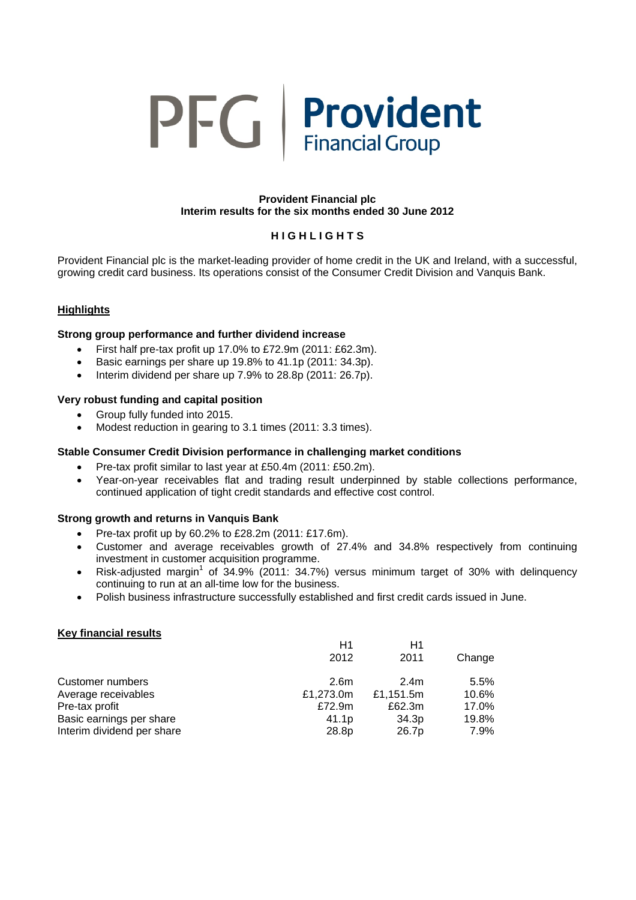# PFG Provident

## **Provident Financial plc Interim results for the six months ended 30 June 2012**

## **H I G H L I G H T S**

Provident Financial plc is the market-leading provider of home credit in the UK and Ireland, with a successful, growing credit card business. Its operations consist of the Consumer Credit Division and Vanquis Bank.

## **Highlights**

## **Strong group performance and further dividend increase**

- First half pre-tax profit up 17.0% to £72.9m (2011: £62.3m).
- Basic earnings per share up 19.8% to 41.1p (2011: 34.3p).
- Interim dividend per share up 7.9% to 28.8p (2011: 26.7p).

## **Very robust funding and capital position**

- Group fully funded into 2015.
- Modest reduction in gearing to 3.1 times (2011: 3.3 times).

## **Stable Consumer Credit Division performance in challenging market conditions**

- Pre-tax profit similar to last year at £50.4m (2011: £50.2m).
- Year-on-year receivables flat and trading result underpinned by stable collections performance, continued application of tight credit standards and effective cost control.

## **Strong growth and returns in Vanquis Bank**

- Pre-tax profit up by 60.2% to £28.2m (2011: £17.6m).
- Customer and average receivables growth of 27.4% and 34.8% respectively from continuing investment in customer acquisition programme.
- Risk-adjusted margin<sup>1</sup> of 34.9% (2011: 34.7%) versus minimum target of 30% with delinquency continuing to run at an all-time low for the business.
- Polish business infrastructure successfully established and first credit cards issued in June.

## **Key financial results**

|                            | H1                | H1               |        |
|----------------------------|-------------------|------------------|--------|
|                            | 2012              | 2011             | Change |
| Customer numbers           | 2.6m              | 2.4 <sub>m</sub> | 5.5%   |
| Average receivables        | £1,273.0m         | £1,151.5m        | 10.6%  |
| Pre-tax profit             | £72.9m            | £62.3m           | 17.0%  |
| Basic earnings per share   | 41.1 <sub>p</sub> | 34.3p            | 19.8%  |
| Interim dividend per share | 28.8p             | 26.7p            | 7.9%   |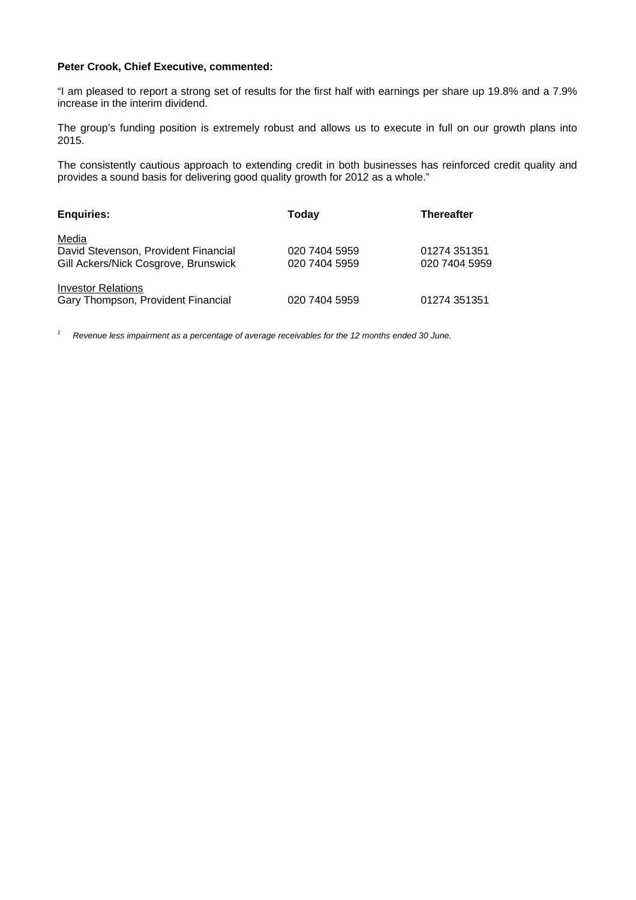## **Peter Crook, Chief Executive, commented:**

"I am pleased to report a strong set of results for the first half with earnings per share up 19.8% and a 7.9% increase in the interim dividend.

The group's funding position is extremely robust and allows us to execute in full on our growth plans into 2015.

The consistently cautious approach to extending credit in both businesses has reinforced credit quality and provides a sound basis for delivering good quality growth for 2012 as a whole."

| <b>Enquiries:</b>                                                                     | Today                          | <b>Thereafter</b>             |
|---------------------------------------------------------------------------------------|--------------------------------|-------------------------------|
| Media<br>David Stevenson, Provident Financial<br>Gill Ackers/Nick Cosgrove, Brunswick | 020 7404 5959<br>020 7404 5959 | 01274 351351<br>020 7404 5959 |
| <b>Investor Relations</b><br>Gary Thompson, Provident Financial                       | 020 7404 5959                  | 01274 351351                  |

*1 Revenue less impairment as a percentage of average receivables for the 12 months ended 30 June.*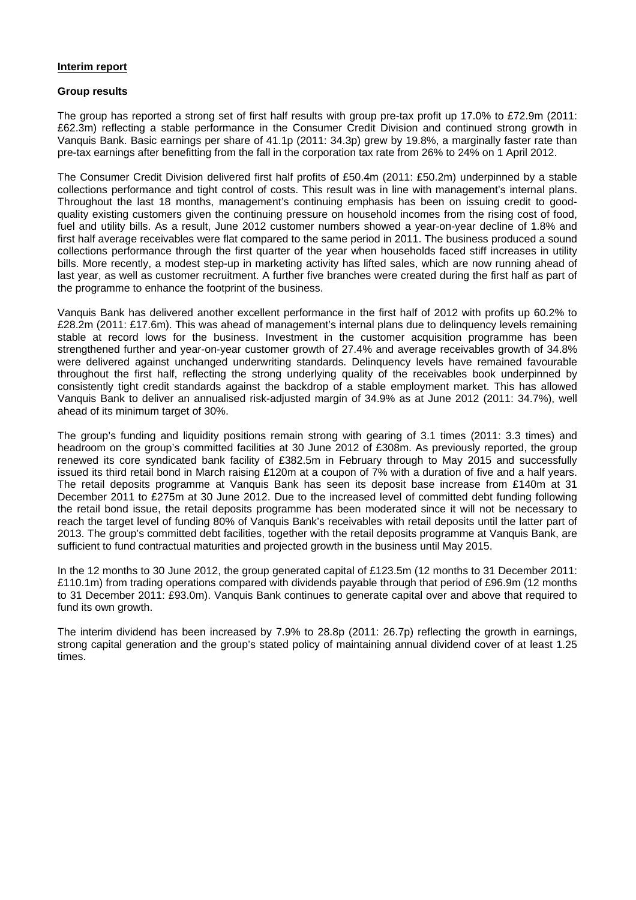## **Interim report**

#### **Group results**

The group has reported a strong set of first half results with group pre-tax profit up 17.0% to £72.9m (2011: £62.3m) reflecting a stable performance in the Consumer Credit Division and continued strong growth in Vanquis Bank. Basic earnings per share of 41.1p (2011: 34.3p) grew by 19.8%, a marginally faster rate than pre-tax earnings after benefitting from the fall in the corporation tax rate from 26% to 24% on 1 April 2012.

The Consumer Credit Division delivered first half profits of £50.4m (2011: £50.2m) underpinned by a stable collections performance and tight control of costs. This result was in line with management's internal plans. Throughout the last 18 months, management's continuing emphasis has been on issuing credit to goodquality existing customers given the continuing pressure on household incomes from the rising cost of food, fuel and utility bills. As a result, June 2012 customer numbers showed a year-on-year decline of 1.8% and first half average receivables were flat compared to the same period in 2011. The business produced a sound collections performance through the first quarter of the year when households faced stiff increases in utility bills. More recently, a modest step-up in marketing activity has lifted sales, which are now running ahead of last year, as well as customer recruitment. A further five branches were created during the first half as part of the programme to enhance the footprint of the business.

Vanquis Bank has delivered another excellent performance in the first half of 2012 with profits up 60.2% to £28.2m (2011: £17.6m). This was ahead of management's internal plans due to delinquency levels remaining stable at record lows for the business. Investment in the customer acquisition programme has been strengthened further and year-on-year customer growth of 27.4% and average receivables growth of 34.8% were delivered against unchanged underwriting standards. Delinquency levels have remained favourable throughout the first half, reflecting the strong underlying quality of the receivables book underpinned by consistently tight credit standards against the backdrop of a stable employment market. This has allowed Vanquis Bank to deliver an annualised risk-adjusted margin of 34.9% as at June 2012 (2011: 34.7%), well ahead of its minimum target of 30%.

The group's funding and liquidity positions remain strong with gearing of 3.1 times (2011: 3.3 times) and headroom on the group's committed facilities at 30 June 2012 of £308m. As previously reported, the group renewed its core syndicated bank facility of £382.5m in February through to May 2015 and successfully issued its third retail bond in March raising £120m at a coupon of 7% with a duration of five and a half years. The retail deposits programme at Vanquis Bank has seen its deposit base increase from £140m at 31 December 2011 to £275m at 30 June 2012. Due to the increased level of committed debt funding following the retail bond issue, the retail deposits programme has been moderated since it will not be necessary to reach the target level of funding 80% of Vanquis Bank's receivables with retail deposits until the latter part of 2013. The group's committed debt facilities, together with the retail deposits programme at Vanquis Bank, are sufficient to fund contractual maturities and projected growth in the business until May 2015.

In the 12 months to 30 June 2012, the group generated capital of £123.5m (12 months to 31 December 2011: £110.1m) from trading operations compared with dividends payable through that period of £96.9m (12 months to 31 December 2011: £93.0m). Vanquis Bank continues to generate capital over and above that required to fund its own growth.

The interim dividend has been increased by 7.9% to 28.8p (2011: 26.7p) reflecting the growth in earnings, strong capital generation and the group's stated policy of maintaining annual dividend cover of at least 1.25 times.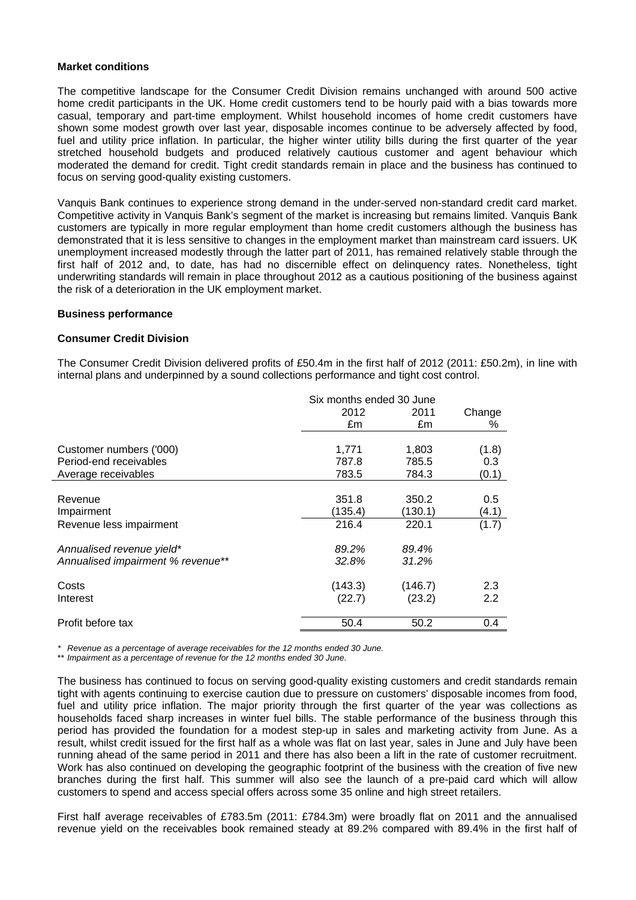## **Market conditions**

The competitive landscape for the Consumer Credit Division remains unchanged with around 500 active home credit participants in the UK. Home credit customers tend to be hourly paid with a bias towards more casual, temporary and part-time employment. Whilst household incomes of home credit customers have shown some modest growth over last year, disposable incomes continue to be adversely affected by food, fuel and utility price inflation. In particular, the higher winter utility bills during the first quarter of the year stretched household budgets and produced relatively cautious customer and agent behaviour which moderated the demand for credit. Tight credit standards remain in place and the business has continued to focus on serving good-quality existing customers.

Vanquis Bank continues to experience strong demand in the under-served non-standard credit card market. Competitive activity in Vanquis Bank's segment of the market is increasing but remains limited. Vanquis Bank customers are typically in more regular employment than home credit customers although the business has demonstrated that it is less sensitive to changes in the employment market than mainstream card issuers. UK unemployment increased modestly through the latter part of 2011, has remained relatively stable through the first half of 2012 and, to date, has had no discernible effect on delinquency rates. Nonetheless, tight underwriting standards will remain in place throughout 2012 as a cautious positioning of the business against the risk of a deterioration in the UK employment market.

#### **Business performance**

#### **Consumer Credit Division**

The Consumer Credit Division delivered profits of £50.4m in the first half of 2012 (2011: £50.2m), in line with internal plans and underpinned by a sound collections performance and tight cost control.

|                                   | Six months ended 30 June |         |        |  |
|-----------------------------------|--------------------------|---------|--------|--|
|                                   | 2012                     | 2011    | Change |  |
|                                   | £m                       | £m      | %      |  |
|                                   |                          |         |        |  |
| Customer numbers ('000)           | 1,771                    | 1,803   | (1.8)  |  |
| Period-end receivables            | 787.8                    | 785.5   | 0.3    |  |
| Average receivables               | 783.5                    | 784.3   | (0.1)  |  |
|                                   |                          |         |        |  |
| Revenue                           | 351.8                    | 350.2   | 0.5    |  |
| Impairment                        | (135.4)                  | (130.1) | (4.1)  |  |
| Revenue less impairment           | 216.4                    | 220.1   | (1.7)  |  |
| Annualised revenue yield*         | 89.2%                    | 89.4%   |        |  |
| Annualised impairment % revenue** | 32.8%                    | 31.2%   |        |  |
| Costs                             | (143.3)                  | (146.7) | 2.3    |  |
| Interest                          | (22.7)                   | (23.2)  | 2.2    |  |
| Profit before tax                 | 50.4                     | 50.2    | 0.4    |  |

*\* Revenue as a percentage of average receivables for the 12 months ended 30 June.* 

\*\* *Impairment as a percentage of revenue for the 12 months ended 30 June.* 

The business has continued to focus on serving good-quality existing customers and credit standards remain tight with agents continuing to exercise caution due to pressure on customers' disposable incomes from food, fuel and utility price inflation. The major priority through the first quarter of the year was collections as households faced sharp increases in winter fuel bills. The stable performance of the business through this period has provided the foundation for a modest step-up in sales and marketing activity from June. As a result, whilst credit issued for the first half as a whole was flat on last year, sales in June and July have been running ahead of the same period in 2011 and there has also been a lift in the rate of customer recruitment. Work has also continued on developing the geographic footprint of the business with the creation of five new branches during the first half. This summer will also see the launch of a pre-paid card which will allow customers to spend and access special offers across some 35 online and high street retailers.

First half average receivables of £783.5m (2011: £784.3m) were broadly flat on 2011 and the annualised revenue yield on the receivables book remained steady at 89.2% compared with 89.4% in the first half of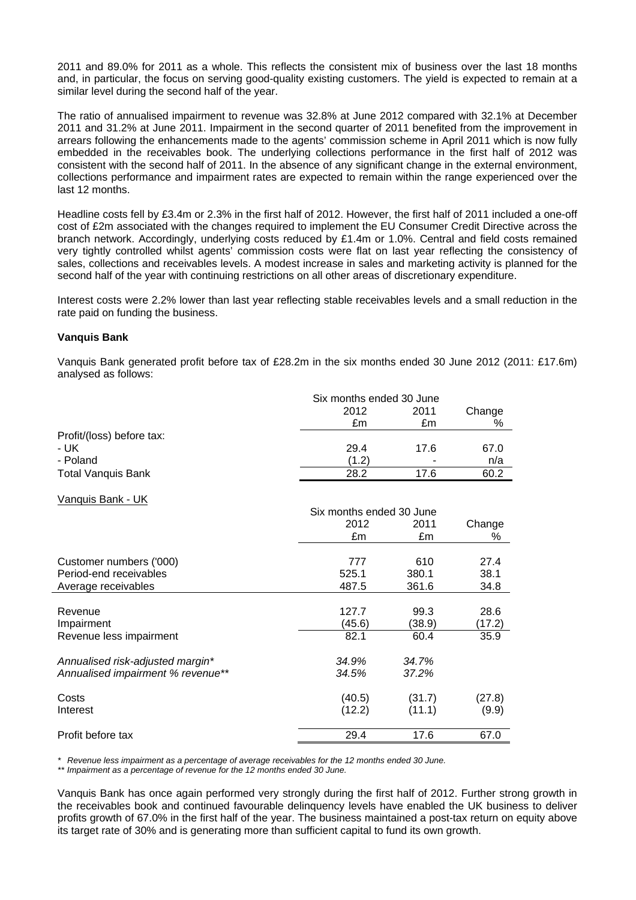2011 and 89.0% for 2011 as a whole. This reflects the consistent mix of business over the last 18 months and, in particular, the focus on serving good-quality existing customers. The yield is expected to remain at a similar level during the second half of the year.

The ratio of annualised impairment to revenue was 32.8% at June 2012 compared with 32.1% at December 2011 and 31.2% at June 2011. Impairment in the second quarter of 2011 benefited from the improvement in arrears following the enhancements made to the agents' commission scheme in April 2011 which is now fully embedded in the receivables book. The underlying collections performance in the first half of 2012 was consistent with the second half of 2011. In the absence of any significant change in the external environment, collections performance and impairment rates are expected to remain within the range experienced over the last 12 months.

Headline costs fell by £3.4m or 2.3% in the first half of 2012. However, the first half of 2011 included a one-off cost of £2m associated with the changes required to implement the EU Consumer Credit Directive across the branch network. Accordingly, underlying costs reduced by £1.4m or 1.0%. Central and field costs remained very tightly controlled whilst agents' commission costs were flat on last year reflecting the consistency of sales, collections and receivables levels. A modest increase in sales and marketing activity is planned for the second half of the year with continuing restrictions on all other areas of discretionary expenditure.

Interest costs were 2.2% lower than last year reflecting stable receivables levels and a small reduction in the rate paid on funding the business.

#### **Vanquis Bank**

Vanquis Bank generated profit before tax of £28.2m in the six months ended 30 June 2012 (2011: £17.6m) analysed as follows:

|                                   | Six months ended 30 June |        |        |  |
|-----------------------------------|--------------------------|--------|--------|--|
|                                   | 2012                     | 2011   | Change |  |
|                                   | £m                       | £m     | %      |  |
| Profit/(loss) before tax:         |                          |        |        |  |
| - UK                              | 29.4                     | 17.6   | 67.0   |  |
| - Poland                          | (1.2)                    |        | n/a    |  |
| <b>Total Vanquis Bank</b>         | 28.2                     | 17.6   | 60.2   |  |
| Vanquis Bank - UK                 |                          |        |        |  |
|                                   | Six months ended 30 June |        |        |  |
|                                   | 2012                     | 2011   | Change |  |
|                                   | £m                       | £m     | %      |  |
| Customer numbers ('000)           | 777                      | 610    | 27.4   |  |
| Period-end receivables            | 525.1                    | 380.1  | 38.1   |  |
| Average receivables               | 487.5                    | 361.6  | 34.8   |  |
|                                   |                          |        |        |  |
| Revenue                           | 127.7                    | 99.3   | 28.6   |  |
| Impairment                        | (45.6)                   | (38.9) | (17.2) |  |
| Revenue less impairment           | 82.1                     | 60.4   | 35.9   |  |
| Annualised risk-adjusted margin*  | 34.9%                    | 34.7%  |        |  |
| Annualised impairment % revenue** | 34.5%                    | 37.2%  |        |  |
| Costs                             | (40.5)                   | (31.7) | (27.8) |  |
| Interest                          | (12.2)                   | (11.1) | (9.9)  |  |
| Profit before tax                 | 29.4                     | 17.6   | 67.0   |  |
|                                   |                          |        |        |  |

*\* Revenue less impairment as a percentage of average receivables for the 12 months ended 30 June.* 

*\*\* Impairment as a percentage of revenue for the 12 months ended 30 June.* 

Vanquis Bank has once again performed very strongly during the first half of 2012. Further strong growth in the receivables book and continued favourable delinquency levels have enabled the UK business to deliver profits growth of 67.0% in the first half of the year. The business maintained a post-tax return on equity above its target rate of 30% and is generating more than sufficient capital to fund its own growth.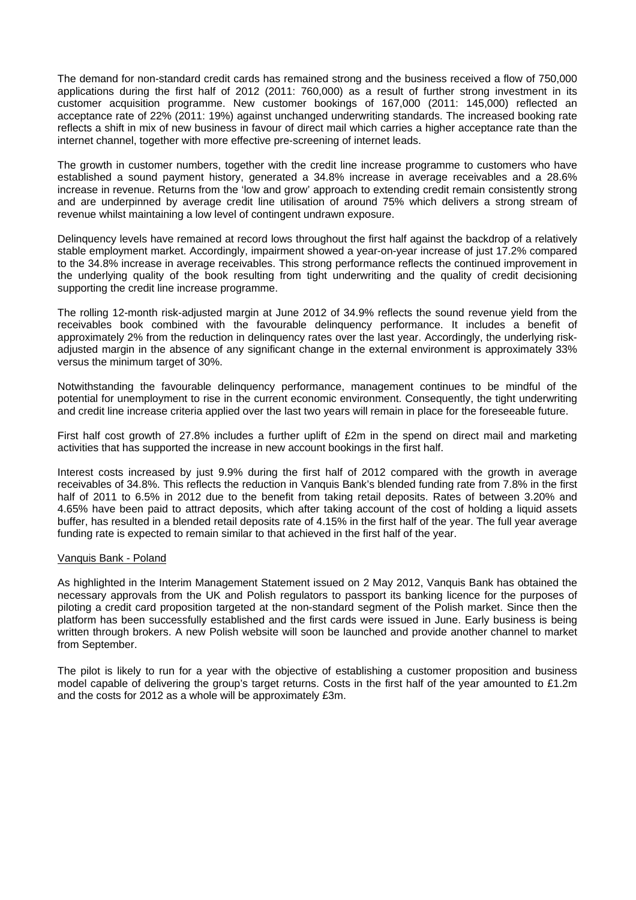The demand for non-standard credit cards has remained strong and the business received a flow of 750,000 applications during the first half of 2012 (2011: 760,000) as a result of further strong investment in its customer acquisition programme. New customer bookings of 167,000 (2011: 145,000) reflected an acceptance rate of 22% (2011: 19%) against unchanged underwriting standards. The increased booking rate reflects a shift in mix of new business in favour of direct mail which carries a higher acceptance rate than the internet channel, together with more effective pre-screening of internet leads.

The growth in customer numbers, together with the credit line increase programme to customers who have established a sound payment history, generated a 34.8% increase in average receivables and a 28.6% increase in revenue. Returns from the 'low and grow' approach to extending credit remain consistently strong and are underpinned by average credit line utilisation of around 75% which delivers a strong stream of revenue whilst maintaining a low level of contingent undrawn exposure.

Delinquency levels have remained at record lows throughout the first half against the backdrop of a relatively stable employment market. Accordingly, impairment showed a year-on-year increase of just 17.2% compared to the 34.8% increase in average receivables. This strong performance reflects the continued improvement in the underlying quality of the book resulting from tight underwriting and the quality of credit decisioning supporting the credit line increase programme.

The rolling 12-month risk-adjusted margin at June 2012 of 34.9% reflects the sound revenue yield from the receivables book combined with the favourable delinquency performance. It includes a benefit of approximately 2% from the reduction in delinquency rates over the last year. Accordingly, the underlying riskadjusted margin in the absence of any significant change in the external environment is approximately 33% versus the minimum target of 30%.

Notwithstanding the favourable delinquency performance, management continues to be mindful of the potential for unemployment to rise in the current economic environment. Consequently, the tight underwriting and credit line increase criteria applied over the last two years will remain in place for the foreseeable future.

First half cost growth of 27.8% includes a further uplift of £2m in the spend on direct mail and marketing activities that has supported the increase in new account bookings in the first half.

Interest costs increased by just 9.9% during the first half of 2012 compared with the growth in average receivables of 34.8%. This reflects the reduction in Vanquis Bank's blended funding rate from 7.8% in the first half of 2011 to 6.5% in 2012 due to the benefit from taking retail deposits. Rates of between 3.20% and 4.65% have been paid to attract deposits, which after taking account of the cost of holding a liquid assets buffer, has resulted in a blended retail deposits rate of 4.15% in the first half of the year. The full year average funding rate is expected to remain similar to that achieved in the first half of the year.

#### Vanquis Bank - Poland

As highlighted in the Interim Management Statement issued on 2 May 2012, Vanquis Bank has obtained the necessary approvals from the UK and Polish regulators to passport its banking licence for the purposes of piloting a credit card proposition targeted at the non-standard segment of the Polish market. Since then the platform has been successfully established and the first cards were issued in June. Early business is being written through brokers. A new Polish website will soon be launched and provide another channel to market from September.

The pilot is likely to run for a year with the objective of establishing a customer proposition and business model capable of delivering the group's target returns. Costs in the first half of the year amounted to £1.2m and the costs for 2012 as a whole will be approximately £3m.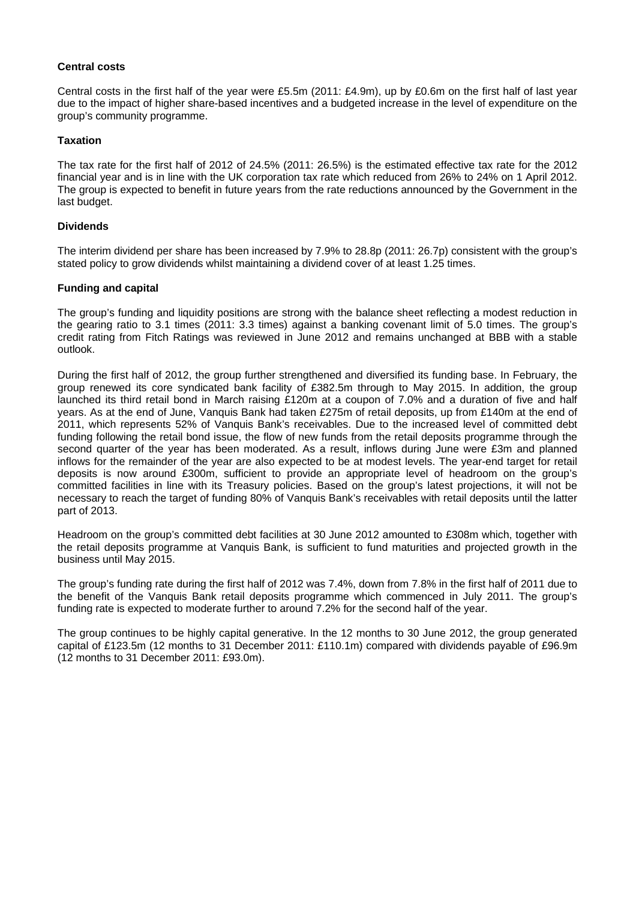## **Central costs**

Central costs in the first half of the year were £5.5m (2011: £4.9m), up by £0.6m on the first half of last year due to the impact of higher share-based incentives and a budgeted increase in the level of expenditure on the group's community programme.

## **Taxation**

The tax rate for the first half of 2012 of 24.5% (2011: 26.5%) is the estimated effective tax rate for the 2012 financial year and is in line with the UK corporation tax rate which reduced from 26% to 24% on 1 April 2012. The group is expected to benefit in future years from the rate reductions announced by the Government in the last budget.

## **Dividends**

The interim dividend per share has been increased by 7.9% to 28.8p (2011: 26.7p) consistent with the group's stated policy to grow dividends whilst maintaining a dividend cover of at least 1.25 times.

## **Funding and capital**

The group's funding and liquidity positions are strong with the balance sheet reflecting a modest reduction in the gearing ratio to 3.1 times (2011: 3.3 times) against a banking covenant limit of 5.0 times. The group's credit rating from Fitch Ratings was reviewed in June 2012 and remains unchanged at BBB with a stable outlook.

During the first half of 2012, the group further strengthened and diversified its funding base. In February, the group renewed its core syndicated bank facility of £382.5m through to May 2015. In addition, the group launched its third retail bond in March raising £120m at a coupon of 7.0% and a duration of five and half years. As at the end of June, Vanquis Bank had taken £275m of retail deposits, up from £140m at the end of 2011, which represents 52% of Vanquis Bank's receivables. Due to the increased level of committed debt funding following the retail bond issue, the flow of new funds from the retail deposits programme through the second quarter of the year has been moderated. As a result, inflows during June were £3m and planned inflows for the remainder of the year are also expected to be at modest levels. The year-end target for retail deposits is now around £300m, sufficient to provide an appropriate level of headroom on the group's committed facilities in line with its Treasury policies. Based on the group's latest projections, it will not be necessary to reach the target of funding 80% of Vanquis Bank's receivables with retail deposits until the latter part of 2013.

Headroom on the group's committed debt facilities at 30 June 2012 amounted to £308m which, together with the retail deposits programme at Vanquis Bank, is sufficient to fund maturities and projected growth in the business until May 2015.

The group's funding rate during the first half of 2012 was 7.4%, down from 7.8% in the first half of 2011 due to the benefit of the Vanquis Bank retail deposits programme which commenced in July 2011. The group's funding rate is expected to moderate further to around 7.2% for the second half of the year.

The group continues to be highly capital generative. In the 12 months to 30 June 2012, the group generated capital of £123.5m (12 months to 31 December 2011: £110.1m) compared with dividends payable of £96.9m (12 months to 31 December 2011: £93.0m).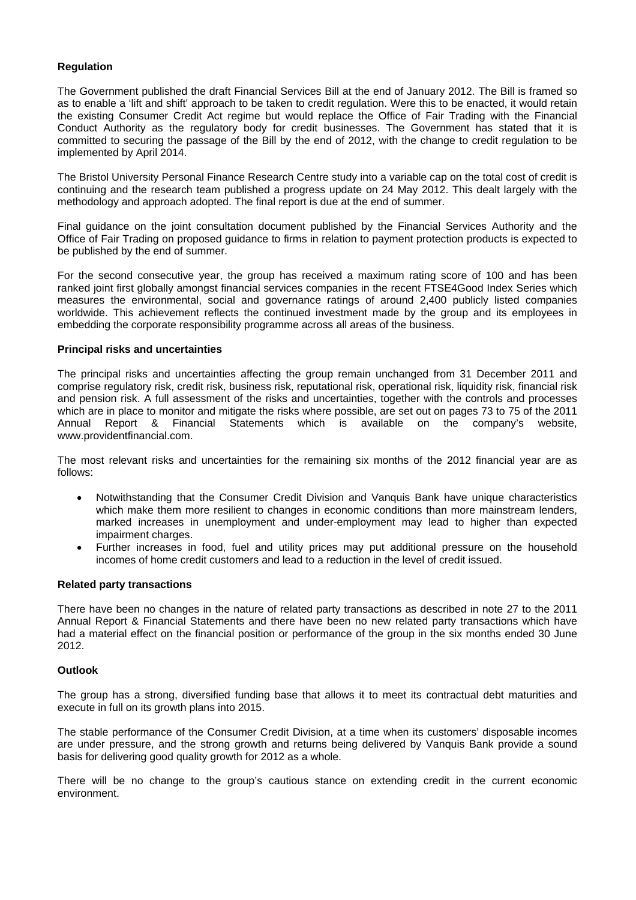## **Regulation**

The Government published the draft Financial Services Bill at the end of January 2012. The Bill is framed so as to enable a 'lift and shift' approach to be taken to credit regulation. Were this to be enacted, it would retain the existing Consumer Credit Act regime but would replace the Office of Fair Trading with the Financial Conduct Authority as the regulatory body for credit businesses. The Government has stated that it is committed to securing the passage of the Bill by the end of 2012, with the change to credit regulation to be implemented by April 2014.

The Bristol University Personal Finance Research Centre study into a variable cap on the total cost of credit is continuing and the research team published a progress update on 24 May 2012. This dealt largely with the methodology and approach adopted. The final report is due at the end of summer.

Final guidance on the joint consultation document published by the Financial Services Authority and the Office of Fair Trading on proposed guidance to firms in relation to payment protection products is expected to be published by the end of summer.

For the second consecutive year, the group has received a maximum rating score of 100 and has been ranked joint first globally amongst financial services companies in the recent FTSE4Good Index Series which measures the environmental, social and governance ratings of around 2,400 publicly listed companies worldwide. This achievement reflects the continued investment made by the group and its employees in embedding the corporate responsibility programme across all areas of the business.

#### **Principal risks and uncertainties**

The principal risks and uncertainties affecting the group remain unchanged from 31 December 2011 and comprise regulatory risk, credit risk, business risk, reputational risk, operational risk, liquidity risk, financial risk and pension risk. A full assessment of the risks and uncertainties, together with the controls and processes which are in place to monitor and mitigate the risks where possible, are set out on pages 73 to 75 of the 2011 Annual Report & Financial Statements which is available on the company's website, www.providentfinancial.com.

The most relevant risks and uncertainties for the remaining six months of the 2012 financial year are as follows:

- Notwithstanding that the Consumer Credit Division and Vanquis Bank have unique characteristics which make them more resilient to changes in economic conditions than more mainstream lenders, marked increases in unemployment and under-employment may lead to higher than expected impairment charges.
- Further increases in food, fuel and utility prices may put additional pressure on the household incomes of home credit customers and lead to a reduction in the level of credit issued.

#### **Related party transactions**

There have been no changes in the nature of related party transactions as described in note 27 to the 2011 Annual Report & Financial Statements and there have been no new related party transactions which have had a material effect on the financial position or performance of the group in the six months ended 30 June 2012.

#### **Outlook**

The group has a strong, diversified funding base that allows it to meet its contractual debt maturities and execute in full on its growth plans into 2015.

The stable performance of the Consumer Credit Division, at a time when its customers' disposable incomes are under pressure, and the strong growth and returns being delivered by Vanquis Bank provide a sound basis for delivering good quality growth for 2012 as a whole.

There will be no change to the group's cautious stance on extending credit in the current economic environment.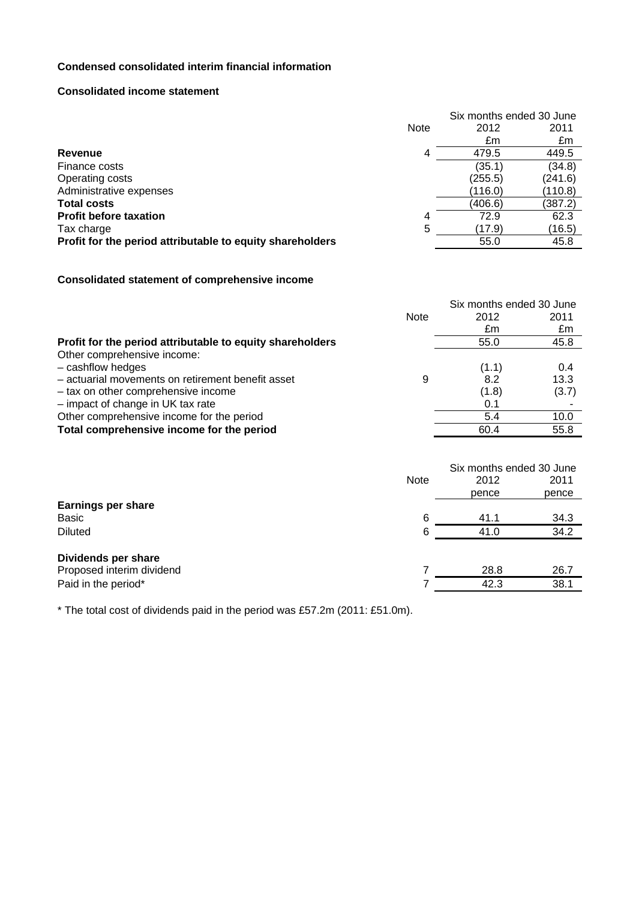## **Condensed consolidated interim financial information**

## **Consolidated income statement**

|                                                           |             | Six months ended 30 June |         |
|-----------------------------------------------------------|-------------|--------------------------|---------|
|                                                           | <b>Note</b> | 2012                     | 2011    |
|                                                           |             | £m                       | £m      |
| Revenue                                                   | 4           | 479.5                    | 449.5   |
| Finance costs                                             |             | (35.1)                   | (34.8)  |
| Operating costs                                           |             | (255.5)                  | (241.6) |
| Administrative expenses                                   |             | (116.0)                  | (110.8) |
| <b>Total costs</b>                                        |             | (406.6)                  | (387.2) |
| <b>Profit before taxation</b>                             | 4           | 72.9                     | 62.3    |
| Tax charge                                                | 5           | (17.9)                   | (16.5)  |
| Profit for the period attributable to equity shareholders |             | 55.0                     | 45.8    |

## **Consolidated statement of comprehensive income**

| <b>Note</b> | 2012  | 2011                     |
|-------------|-------|--------------------------|
|             | £m    | £m                       |
|             | 55.0  | 45.8                     |
|             |       |                          |
|             | (1.1) | 0.4                      |
| 9           | 8.2   | 13.3                     |
|             | (1.8) | (3.7)                    |
|             | 0.1   |                          |
|             | 5.4   | 10.0                     |
|             | 60.4  | 55.8                     |
|             |       |                          |
|             |       | Six months ended 30 June |

|                           |             | Six months ended 30 June |       |
|---------------------------|-------------|--------------------------|-------|
|                           | <b>Note</b> | 2012                     | 2011  |
|                           |             | pence                    | pence |
| <b>Earnings per share</b> |             |                          |       |
| <b>Basic</b>              | 6           | 41.1                     | 34.3  |
| <b>Diluted</b>            | 6           | 41.0                     | 34.2  |
|                           |             |                          |       |
| Dividends per share       |             |                          |       |
| Proposed interim dividend |             | 28.8                     | 26.7  |
| Paid in the period*       |             | 42.3                     | 38.1  |
|                           |             |                          |       |

\* The total cost of dividends paid in the period was £57.2m (2011: £51.0m).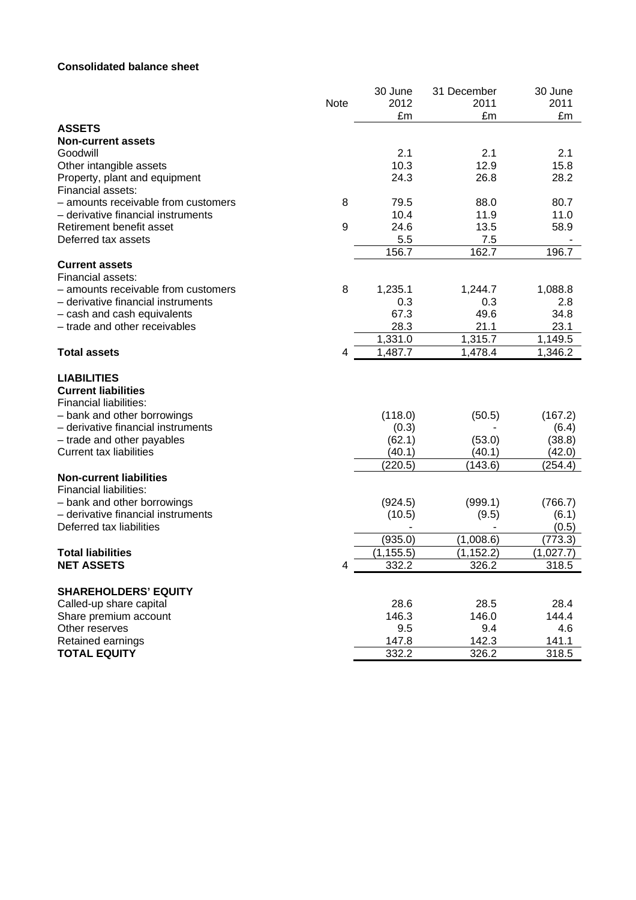## **Consolidated balance sheet**

|                                            |             | 30 June    | 31 December          | 30 June   |
|--------------------------------------------|-------------|------------|----------------------|-----------|
|                                            | <b>Note</b> | 2012       | 2011                 | 2011      |
|                                            |             | £m         | £m                   | £m        |
| <b>ASSETS</b>                              |             |            |                      |           |
| <b>Non-current assets</b>                  |             |            |                      |           |
| Goodwill                                   |             | 2.1        | 2.1                  | 2.1       |
| Other intangible assets                    |             | 10.3       | 12.9                 | 15.8      |
| Property, plant and equipment              |             | 24.3       | 26.8                 | 28.2      |
| Financial assets:                          |             |            |                      |           |
| - amounts receivable from customers        | 8           | 79.5       | 88.0                 | 80.7      |
| - derivative financial instruments         |             | 10.4       | 11.9                 | 11.0      |
| Retirement benefit asset                   | $\mathsf g$ | 24.6       | 13.5                 | 58.9      |
| Deferred tax assets                        |             | 5.5        | 7.5                  |           |
|                                            |             | 156.7      | 162.7                | 196.7     |
| <b>Current assets</b><br>Financial assets: |             |            |                      |           |
| - amounts receivable from customers        | 8           | 1,235.1    | 1,244.7              | 1,088.8   |
| - derivative financial instruments         |             | 0.3        | 0.3                  | 2.8       |
| - cash and cash equivalents                |             | 67.3       | 49.6                 | 34.8      |
| - trade and other receivables              |             | 28.3       | 21.1                 | 23.1      |
|                                            |             | 1,331.0    | $1,315.\overline{7}$ | 1,149.5   |
| <b>Total assets</b>                        | 4           | 1,487.7    | 1,478.4              | 1,346.2   |
|                                            |             |            |                      |           |
| <b>LIABILITIES</b>                         |             |            |                      |           |
| <b>Current liabilities</b>                 |             |            |                      |           |
| <b>Financial liabilities:</b>              |             |            |                      |           |
| - bank and other borrowings                |             | (118.0)    | (50.5)               | (167.2)   |
| - derivative financial instruments         |             | (0.3)      |                      | (6.4)     |
| - trade and other payables                 |             | (62.1)     | (53.0)               | (38.8)    |
| <b>Current tax liabilities</b>             |             | (40.1)     | (40.1)               | (42.0)    |
|                                            |             | (220.5)    | (143.6)              | (254.4)   |
| <b>Non-current liabilities</b>             |             |            |                      |           |
| <b>Financial liabilities:</b>              |             |            |                      |           |
| - bank and other borrowings                |             | (924.5)    | (999.1)              | (766.7)   |
| - derivative financial instruments         |             | (10.5)     | (9.5)                | (6.1)     |
| Deferred tax liabilities                   |             |            |                      | (0.5)     |
|                                            |             | (935.0)    | (1,008.6)            | (773.3)   |
| <b>Total liabilities</b>                   |             | (1, 155.5) | (1, 152.2)           | (1,027.7) |
| <b>NET ASSETS</b>                          | 4           | 332.2      | 326.2                | 318.5     |
|                                            |             |            |                      |           |
| <b>SHAREHOLDERS' EQUITY</b>                |             |            |                      |           |
| Called-up share capital                    |             | 28.6       | 28.5                 | 28.4      |
| Share premium account                      |             | 146.3      | 146.0                | 144.4     |
| Other reserves                             |             | 9.5        | 9.4                  | 4.6       |
| Retained earnings                          |             | 147.8      | 142.3                | 141.1     |
| <b>TOTAL EQUITY</b>                        |             | 332.2      | 326.2                | 318.5     |
|                                            |             |            |                      |           |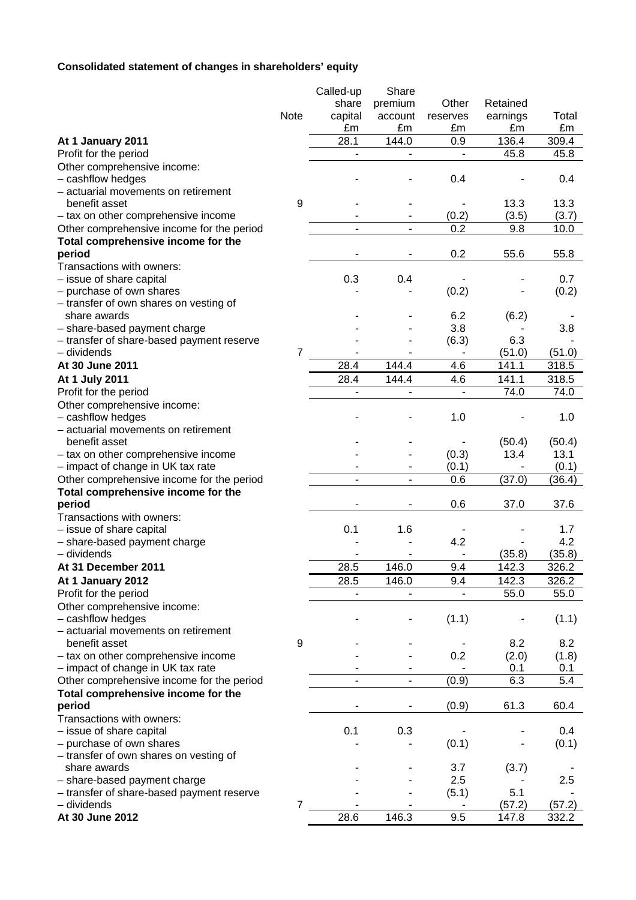# **Consolidated statement of changes in shareholders' equity**

|                                                        | <b>Note</b>    | Called-up<br>share<br>capital | Share<br>premium<br>account<br>£m | Other<br>reserves | Retained<br>earnings | Total<br>£m |
|--------------------------------------------------------|----------------|-------------------------------|-----------------------------------|-------------------|----------------------|-------------|
|                                                        |                | £m<br>28.1                    | 144.0                             | £m<br>0.9         | £m<br>136.4          | 309.4       |
| At 1 January 2011<br>Profit for the period             |                | ÷                             | $\overline{\phantom{a}}$          | ä,                | 45.8                 | 45.8        |
| Other comprehensive income:                            |                |                               |                                   |                   |                      |             |
| - cashflow hedges                                      |                |                               |                                   | 0.4               |                      | 0.4         |
| - actuarial movements on retirement                    |                |                               |                                   |                   |                      |             |
| benefit asset                                          | 9              |                               |                                   |                   | 13.3                 | 13.3        |
| - tax on other comprehensive income                    |                |                               |                                   | (0.2)             | (3.5)                | (3.7)       |
| Other comprehensive income for the period              |                | $\overline{\phantom{a}}$      |                                   | 0.2               | 9.8                  | 10.0        |
| Total comprehensive income for the                     |                |                               |                                   |                   |                      |             |
| period                                                 |                |                               |                                   | 0.2               | 55.6                 | 55.8        |
| Transactions with owners:                              |                |                               |                                   |                   |                      |             |
|                                                        |                | 0.3                           | 0.4                               |                   |                      | 0.7         |
| - issue of share capital                               |                |                               |                                   |                   |                      | (0.2)       |
| - purchase of own shares                               |                |                               |                                   | (0.2)             |                      |             |
| - transfer of own shares on vesting of<br>share awards |                |                               |                                   | 6.2               |                      |             |
|                                                        |                |                               |                                   |                   | (6.2)                |             |
| - share-based payment charge                           |                |                               |                                   | 3.8               |                      | 3.8         |
| - transfer of share-based payment reserve              |                |                               |                                   | (6.3)             | 6.3                  |             |
| - dividends                                            | 7              |                               |                                   | ÷                 | (51.0)               | (51.0)      |
| At 30 June 2011                                        |                | 28.4                          | 144.4                             | 4.6               | 141.1                | 318.5       |
| At 1 July 2011                                         |                | 28.4                          | 144.4                             | 4.6               | 141.1                | 318.5       |
| Profit for the period                                  |                | L,                            |                                   | ÷,                | 74.0                 | 74.0        |
| Other comprehensive income:                            |                |                               |                                   |                   |                      |             |
| - cashflow hedges                                      |                |                               |                                   | 1.0               |                      | 1.0         |
| - actuarial movements on retirement                    |                |                               |                                   |                   |                      |             |
| benefit asset                                          |                |                               |                                   |                   | (50.4)               | (50.4)      |
| - tax on other comprehensive income                    |                |                               |                                   | (0.3)             | 13.4                 | 13.1        |
| - impact of change in UK tax rate                      |                |                               |                                   | (0.1)             |                      | (0.1)       |
| Other comprehensive income for the period              |                | $\overline{a}$                | ä,                                | 0.6               | (37.0)               | (36.4)      |
| Total comprehensive income for the                     |                |                               |                                   |                   |                      |             |
| period                                                 |                |                               |                                   | 0.6               | 37.0                 | 37.6        |
| Transactions with owners:                              |                |                               |                                   |                   |                      |             |
| - issue of share capital                               |                | 0.1                           | 1.6                               |                   |                      | 1.7         |
| - share-based payment charge                           |                |                               |                                   | 4.2               |                      | 4.2         |
| - dividends                                            |                |                               |                                   |                   | (35.8)               | (35.8)      |
| At 31 December 2011                                    |                | 28.5                          | 146.0                             | 9.4               | 142.3                | 326.2       |
| At 1 January 2012                                      |                | 28.5                          | 146.0                             | 9.4               | 142.3                | 326.2       |
| Profit for the period                                  |                |                               |                                   |                   | 55.0                 | 55.0        |
| Other comprehensive income:                            |                |                               |                                   |                   |                      |             |
| - cashflow hedges                                      |                |                               |                                   | (1.1)             |                      | (1.1)       |
| - actuarial movements on retirement                    |                |                               |                                   |                   |                      |             |
| benefit asset                                          | 9              |                               |                                   |                   | 8.2                  | 8.2         |
| - tax on other comprehensive income                    |                |                               |                                   | 0.2               | (2.0)                | (1.8)       |
| - impact of change in UK tax rate                      |                |                               |                                   |                   | 0.1                  | 0.1         |
| Other comprehensive income for the period              |                |                               |                                   | (0.9)             | 6.3                  | 5.4         |
| Total comprehensive income for the                     |                |                               |                                   |                   |                      |             |
| period                                                 |                |                               |                                   | (0.9)             | 61.3                 | 60.4        |
| Transactions with owners:                              |                |                               |                                   |                   |                      |             |
| - issue of share capital                               |                | 0.1                           | 0.3                               |                   |                      | 0.4         |
| - purchase of own shares                               |                |                               |                                   | (0.1)             |                      |             |
|                                                        |                |                               |                                   |                   |                      | (0.1)       |
| - transfer of own shares on vesting of                 |                |                               |                                   |                   |                      |             |
| share awards                                           |                |                               |                                   | 3.7               | (3.7)                |             |
| - share-based payment charge                           |                |                               |                                   | 2.5               |                      | 2.5         |
| - transfer of share-based payment reserve              |                |                               |                                   | (5.1)             | 5.1                  |             |
| - dividends                                            | $\overline{7}$ |                               |                                   |                   | (57.2)               | (57.2)      |
| At 30 June 2012                                        |                | 28.6                          | 146.3                             | 9.5               | 147.8                | 332.2       |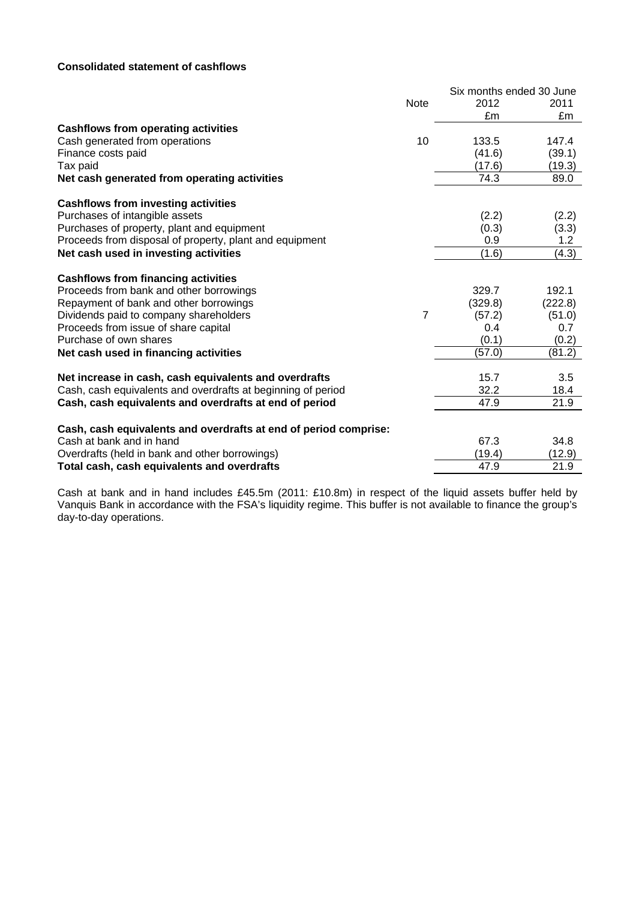## **Consolidated statement of cashflows**

|                                                                  |             | Six months ended 30 June |                  |
|------------------------------------------------------------------|-------------|--------------------------|------------------|
|                                                                  | <b>Note</b> | 2012                     | 2011             |
|                                                                  |             | £m                       | £m               |
| <b>Cashflows from operating activities</b>                       |             |                          |                  |
| Cash generated from operations                                   | 10          | 133.5                    | 147.4            |
| Finance costs paid                                               |             | (41.6)                   | (39.1)           |
| Tax paid                                                         |             | (17.6)                   | (19.3)           |
| Net cash generated from operating activities                     |             | 74.3                     | 89.0             |
| <b>Cashflows from investing activities</b>                       |             |                          |                  |
| Purchases of intangible assets                                   |             | (2.2)                    | (2.2)            |
| Purchases of property, plant and equipment                       |             | (0.3)                    | (3.3)            |
| Proceeds from disposal of property, plant and equipment          |             | 0.9                      | 1.2 <sub>1</sub> |
| Net cash used in investing activities                            |             | (1.6)                    | (4.3)            |
| <b>Cashflows from financing activities</b>                       |             |                          |                  |
| Proceeds from bank and other borrowings                          |             | 329.7                    | 192.1            |
| Repayment of bank and other borrowings                           |             | (329.8)                  | (222.8)          |
| Dividends paid to company shareholders                           | 7           | (57.2)                   | (51.0)           |
| Proceeds from issue of share capital                             |             | 0.4                      | 0.7              |
| Purchase of own shares                                           |             | (0.1)                    | (0.2)            |
| Net cash used in financing activities                            |             | (57.0)                   | (81.2)           |
|                                                                  |             |                          |                  |
| Net increase in cash, cash equivalents and overdrafts            |             | 15.7                     | 3.5              |
| Cash, cash equivalents and overdrafts at beginning of period     |             | 32.2                     | 18.4             |
| Cash, cash equivalents and overdrafts at end of period           |             | 47.9                     | 21.9             |
| Cash, cash equivalents and overdrafts at end of period comprise: |             |                          |                  |
| Cash at bank and in hand                                         |             | 67.3                     | 34.8             |
| Overdrafts (held in bank and other borrowings)                   |             | (19.4)                   | (12.9)           |
| Total cash, cash equivalents and overdrafts                      |             | 47.9                     | 21.9             |

Cash at bank and in hand includes £45.5m (2011: £10.8m) in respect of the liquid assets buffer held by Vanquis Bank in accordance with the FSA's liquidity regime. This buffer is not available to finance the group's day-to-day operations.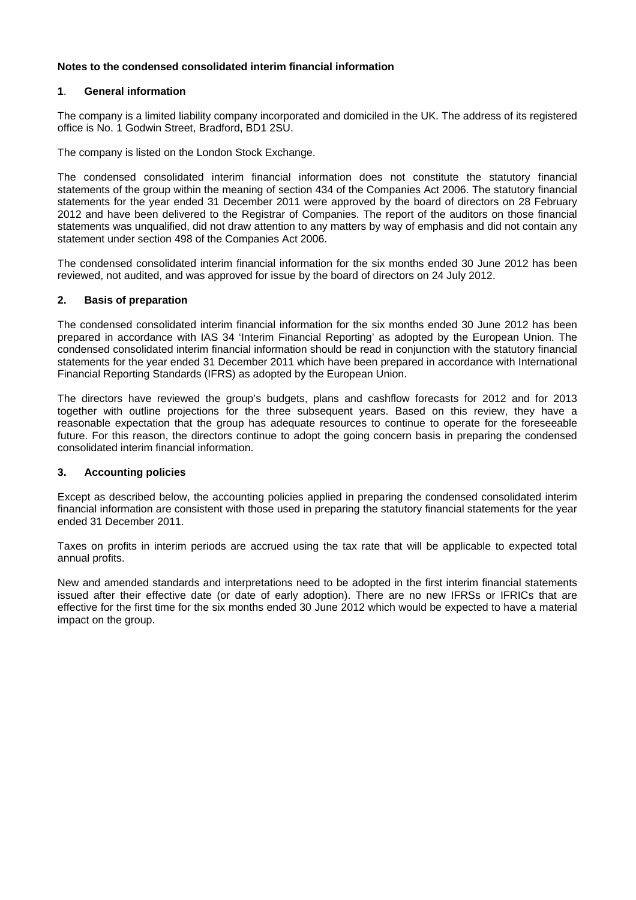## **Notes to the condensed consolidated interim financial information**

## **1**. **General information**

The company is a limited liability company incorporated and domiciled in the UK. The address of its registered office is No. 1 Godwin Street, Bradford, BD1 2SU.

The company is listed on the London Stock Exchange.

The condensed consolidated interim financial information does not constitute the statutory financial statements of the group within the meaning of section 434 of the Companies Act 2006. The statutory financial statements for the year ended 31 December 2011 were approved by the board of directors on 28 February 2012 and have been delivered to the Registrar of Companies. The report of the auditors on those financial statements was unqualified, did not draw attention to any matters by way of emphasis and did not contain any statement under section 498 of the Companies Act 2006.

The condensed consolidated interim financial information for the six months ended 30 June 2012 has been reviewed, not audited, and was approved for issue by the board of directors on 24 July 2012.

## **2. Basis of preparation**

The condensed consolidated interim financial information for the six months ended 30 June 2012 has been prepared in accordance with IAS 34 'Interim Financial Reporting' as adopted by the European Union. The condensed consolidated interim financial information should be read in conjunction with the statutory financial statements for the year ended 31 December 2011 which have been prepared in accordance with International Financial Reporting Standards (IFRS) as adopted by the European Union.

The directors have reviewed the group's budgets, plans and cashflow forecasts for 2012 and for 2013 together with outline projections for the three subsequent years. Based on this review, they have a reasonable expectation that the group has adequate resources to continue to operate for the foreseeable future. For this reason, the directors continue to adopt the going concern basis in preparing the condensed consolidated interim financial information.

#### **3. Accounting policies**

Except as described below, the accounting policies applied in preparing the condensed consolidated interim financial information are consistent with those used in preparing the statutory financial statements for the year ended 31 December 2011.

Taxes on profits in interim periods are accrued using the tax rate that will be applicable to expected total annual profits.

New and amended standards and interpretations need to be adopted in the first interim financial statements issued after their effective date (or date of early adoption). There are no new IFRSs or IFRICs that are effective for the first time for the six months ended 30 June 2012 which would be expected to have a material impact on the group.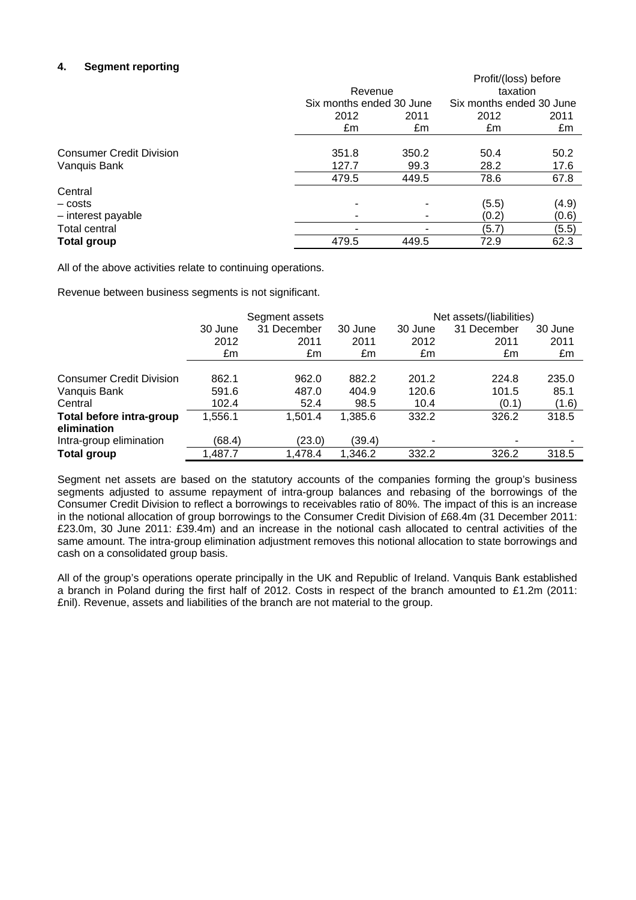## **4. Segment reporting**

| ---<br>5591115111190111119      |                          |         | Profit/(loss) before     |          |
|---------------------------------|--------------------------|---------|--------------------------|----------|
|                                 |                          |         |                          |          |
|                                 |                          | Revenue |                          | taxation |
|                                 | Six months ended 30 June |         | Six months ended 30 June |          |
|                                 | 2012                     | 2011    | 2012                     | 2011     |
|                                 | £m                       | £m      | £m                       | £m       |
|                                 |                          |         |                          |          |
| <b>Consumer Credit Division</b> | 351.8                    | 350.2   | 50.4                     | 50.2     |
| Vanquis Bank                    | 127.7                    | 99.3    | 28.2                     | 17.6     |
|                                 | 479.5                    | 449.5   | 78.6                     | 67.8     |
| Central                         |                          |         |                          |          |
| - costs                         |                          |         | (5.5)                    | (4.9)    |
| - interest payable              | ۰                        |         | (0.2)                    | (0.6)    |
| <b>Total central</b>            |                          |         | (5.7)                    | (5.5)    |
| <b>Total group</b>              | 479.5                    | 449.5   | 72.9                     | 62.3     |
|                                 |                          |         |                          |          |

All of the above activities relate to continuing operations.

Revenue between business segments is not significant.

|                                         | Segment assets |             |         | Net assets/(liabilities) |             |         |
|-----------------------------------------|----------------|-------------|---------|--------------------------|-------------|---------|
|                                         | 30 June        | 31 December | 30 June | 30 June                  | 31 December | 30 June |
|                                         | 2012           | 2011        | 2011    | 2012                     | 2011        | 2011    |
|                                         | £m             | £m          | £m      | £m                       | £m          | £m      |
|                                         |                |             |         |                          |             |         |
| <b>Consumer Credit Division</b>         | 862.1          | 962.0       | 882.2   | 201.2                    | 224.8       | 235.0   |
| Vanguis Bank                            | 591.6          | 487.0       | 404.9   | 120.6                    | 101.5       | 85.1    |
| Central                                 | 102.4          | 52.4        | 98.5    | 10.4                     | (0.1)       | (1.6)   |
| Total before intra-group<br>elimination | 1,556.1        | 1.501.4     | 1,385.6 | 332.2                    | 326.2       | 318.5   |
| Intra-group elimination                 | (68.4)         | (23.0)      | (39.4)  | ۰                        | -           |         |
|                                         |                |             |         |                          |             |         |
| <b>Total group</b>                      | 1,487.7        | 1,478.4     | 1,346.2 | 332.2                    | 326.2       | 318.5   |

Segment net assets are based on the statutory accounts of the companies forming the group's business segments adjusted to assume repayment of intra-group balances and rebasing of the borrowings of the Consumer Credit Division to reflect a borrowings to receivables ratio of 80%. The impact of this is an increase in the notional allocation of group borrowings to the Consumer Credit Division of £68.4m (31 December 2011: £23.0m, 30 June 2011: £39.4m) and an increase in the notional cash allocated to central activities of the same amount. The intra-group elimination adjustment removes this notional allocation to state borrowings and cash on a consolidated group basis.

All of the group's operations operate principally in the UK and Republic of Ireland. Vanquis Bank established a branch in Poland during the first half of 2012. Costs in respect of the branch amounted to £1.2m (2011: £nil). Revenue, assets and liabilities of the branch are not material to the group.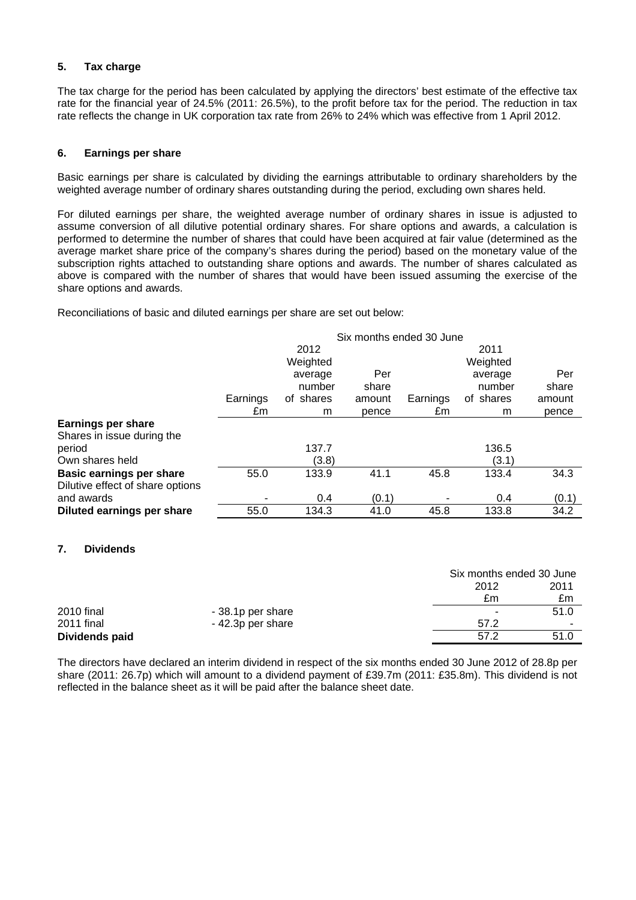## **5. Tax charge**

The tax charge for the period has been calculated by applying the directors' best estimate of the effective tax rate for the financial year of 24.5% (2011: 26.5%), to the profit before tax for the period. The reduction in tax rate reflects the change in UK corporation tax rate from 26% to 24% which was effective from 1 April 2012.

## **6. Earnings per share**

Basic earnings per share is calculated by dividing the earnings attributable to ordinary shareholders by the weighted average number of ordinary shares outstanding during the period, excluding own shares held.

For diluted earnings per share, the weighted average number of ordinary shares in issue is adjusted to assume conversion of all dilutive potential ordinary shares. For share options and awards, a calculation is performed to determine the number of shares that could have been acquired at fair value (determined as the average market share price of the company's shares during the period) based on the monetary value of the subscription rights attached to outstanding share options and awards. The number of shares calculated as above is compared with the number of shares that would have been issued assuming the exercise of the share options and awards.

Reconciliations of basic and diluted earnings per share are set out below:

|                                  | Six months ended 30 June |           |        |          |           |        |
|----------------------------------|--------------------------|-----------|--------|----------|-----------|--------|
|                                  |                          | 2012      |        |          | 2011      |        |
|                                  |                          | Weighted  |        |          | Weighted  |        |
|                                  |                          | average   | Per    |          | average   | Per    |
|                                  |                          | number    | share  |          | number    | share  |
|                                  | Earnings                 | of shares | amount | Earnings | of shares | amount |
|                                  | £m                       | m         | pence  | £m       | m         | pence  |
| <b>Earnings per share</b>        |                          |           |        |          |           |        |
| Shares in issue during the       |                          |           |        |          |           |        |
| period                           |                          | 137.7     |        |          | 136.5     |        |
| Own shares held                  |                          | (3.8)     |        |          | (3.1)     |        |
| <b>Basic earnings per share</b>  | 55.0                     | 133.9     | 41.1   | 45.8     | 133.4     | 34.3   |
| Dilutive effect of share options |                          |           |        |          |           |        |
| and awards                       |                          | 0.4       | (0.1)  |          | 0.4       | (0.1)  |
| Diluted earnings per share       | 55.0                     | 134.3     | 41.0   | 45.8     | 133.8     | 34.2   |

#### **7. Dividends**

|                |                   | Six months ended 30 June |      |
|----------------|-------------------|--------------------------|------|
|                |                   | 2012                     | 2011 |
|                |                   | £m                       | £m   |
| 2010 final     | - 38.1p per share | $\overline{\phantom{a}}$ | 51.0 |
| 2011 final     | - 42.3p per share | 57.2                     |      |
| Dividends paid |                   | 57.2                     | 51.0 |

The directors have declared an interim dividend in respect of the six months ended 30 June 2012 of 28.8p per share (2011: 26.7p) which will amount to a dividend payment of £39.7m (2011: £35.8m). This dividend is not reflected in the balance sheet as it will be paid after the balance sheet date.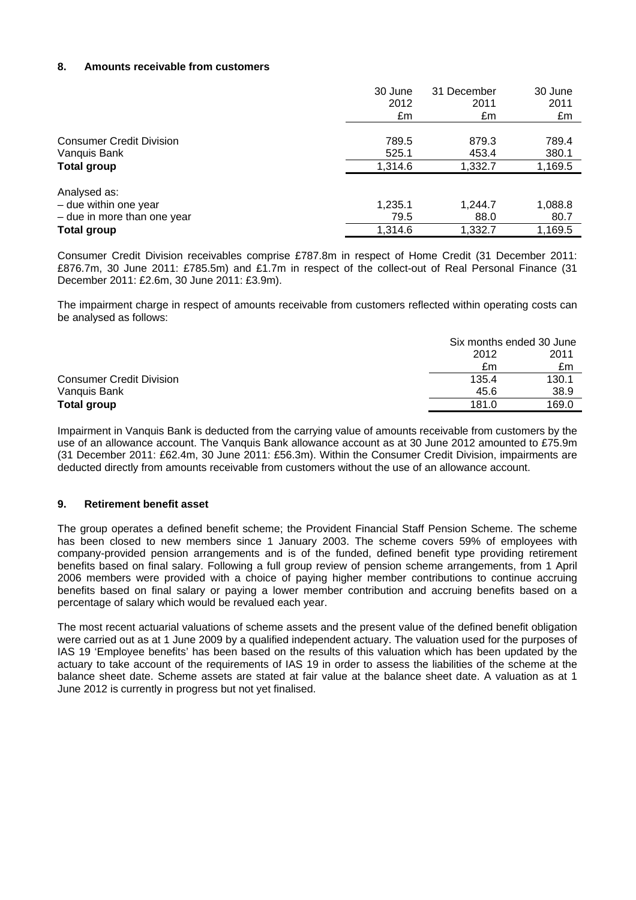## **8. Amounts receivable from customers**

|                                 | 30 June | 31 December | 30 June |
|---------------------------------|---------|-------------|---------|
|                                 | 2012    | 2011        | 2011    |
|                                 | £m      | £m          | £m      |
|                                 |         |             |         |
| <b>Consumer Credit Division</b> | 789.5   | 879.3       | 789.4   |
| Vanquis Bank                    | 525.1   | 453.4       | 380.1   |
| <b>Total group</b>              | 1,314.6 | 1,332.7     | 1,169.5 |
| Analysed as:                    |         |             |         |
| - due within one year           | 1,235.1 | 1,244.7     | 1,088.8 |
| - due in more than one year     | 79.5    | 88.0        | 80.7    |
| <b>Total group</b>              | 1,314.6 | 1,332.7     | 1,169.5 |

Consumer Credit Division receivables comprise £787.8m in respect of Home Credit (31 December 2011: £876.7m, 30 June 2011: £785.5m) and £1.7m in respect of the collect-out of Real Personal Finance (31 December 2011: £2.6m, 30 June 2011: £3.9m).

The impairment charge in respect of amounts receivable from customers reflected within operating costs can be analysed as follows:

|                                 |       | Six months ended 30 June |  |
|---------------------------------|-------|--------------------------|--|
|                                 | 2012  | 2011                     |  |
|                                 | £m    | £m                       |  |
| <b>Consumer Credit Division</b> | 135.4 | 130.1                    |  |
| Vanquis Bank                    | 45.6  | 38.9                     |  |
| <b>Total group</b>              | 181.0 | 169.0                    |  |

Impairment in Vanquis Bank is deducted from the carrying value of amounts receivable from customers by the use of an allowance account. The Vanquis Bank allowance account as at 30 June 2012 amounted to £75.9m (31 December 2011: £62.4m, 30 June 2011: £56.3m). Within the Consumer Credit Division, impairments are deducted directly from amounts receivable from customers without the use of an allowance account.

## **9. Retirement benefit asset**

The group operates a defined benefit scheme; the Provident Financial Staff Pension Scheme. The scheme has been closed to new members since 1 January 2003. The scheme covers 59% of employees with company-provided pension arrangements and is of the funded, defined benefit type providing retirement benefits based on final salary. Following a full group review of pension scheme arrangements, from 1 April 2006 members were provided with a choice of paying higher member contributions to continue accruing benefits based on final salary or paying a lower member contribution and accruing benefits based on a percentage of salary which would be revalued each year.

The most recent actuarial valuations of scheme assets and the present value of the defined benefit obligation were carried out as at 1 June 2009 by a qualified independent actuary. The valuation used for the purposes of IAS 19 'Employee benefits' has been based on the results of this valuation which has been updated by the actuary to take account of the requirements of IAS 19 in order to assess the liabilities of the scheme at the balance sheet date. Scheme assets are stated at fair value at the balance sheet date. A valuation as at 1 June 2012 is currently in progress but not yet finalised.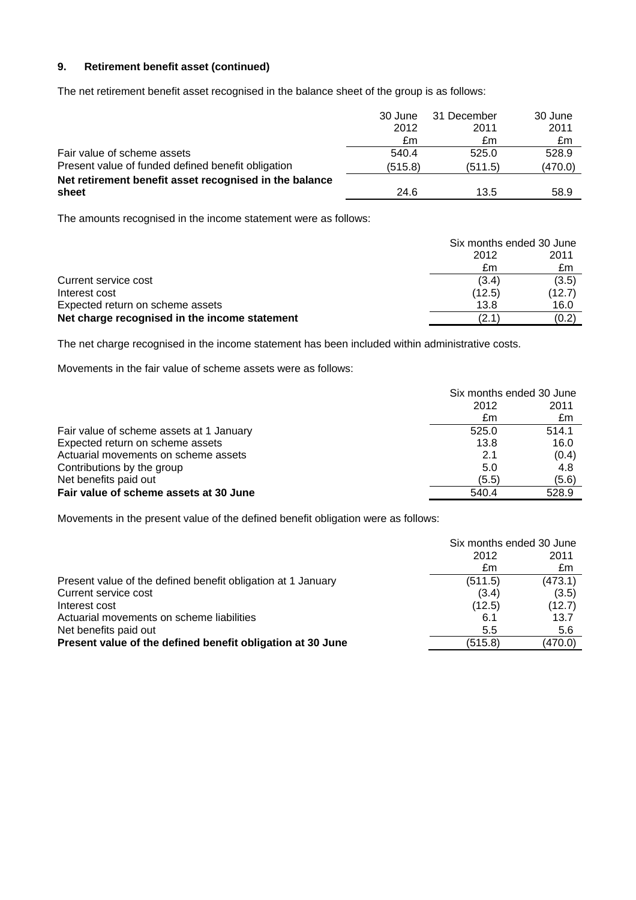## **9. Retirement benefit asset (continued)**

The net retirement benefit asset recognised in the balance sheet of the group is as follows:

|                                                        | 30 June | 31 December | 30 June |
|--------------------------------------------------------|---------|-------------|---------|
|                                                        | 2012    | 2011        | 2011    |
|                                                        | £m      | £m          | £m      |
| Fair value of scheme assets                            | 540.4   | 525.0       | 528.9   |
| Present value of funded defined benefit obligation     | (515.8) | (511.5)     | (470.0) |
| Net retirement benefit asset recognised in the balance |         |             |         |
| sheet                                                  | 24.6    | 13.5        | 58.9    |

The amounts recognised in the income statement were as follows:

|                                               | Six months ended 30 June |        |
|-----------------------------------------------|--------------------------|--------|
|                                               | 2012                     | 2011   |
|                                               | £m                       | £m     |
| Current service cost                          | (3.4)                    | (3.5)  |
| Interest cost                                 | (12.5)                   | (12.7) |
| Expected return on scheme assets              | 13.8                     | 16.0   |
| Net charge recognised in the income statement | (2.1                     | (0.2)  |

The net charge recognised in the income statement has been included within administrative costs.

Movements in the fair value of scheme assets were as follows:

|                                          |       | Six months ended 30 June |  |
|------------------------------------------|-------|--------------------------|--|
|                                          | 2012  | 2011                     |  |
|                                          | £m    | £m                       |  |
| Fair value of scheme assets at 1 January | 525.0 | 514.1                    |  |
| Expected return on scheme assets         | 13.8  | 16.0                     |  |
| Actuarial movements on scheme assets     | 2.1   | (0.4)                    |  |
| Contributions by the group               | 5.0   | 4.8                      |  |
| Net benefits paid out                    | (5.5) | (5.6)                    |  |
| Fair value of scheme assets at 30 June   | 540.4 | 528.9                    |  |

Movements in the present value of the defined benefit obligation were as follows:

|                                                              |         | Six months ended 30 June |  |
|--------------------------------------------------------------|---------|--------------------------|--|
|                                                              | 2012    | 2011                     |  |
|                                                              | £m      | £m                       |  |
| Present value of the defined benefit obligation at 1 January | (511.5) | (473.1)                  |  |
| Current service cost                                         | (3.4)   | (3.5)                    |  |
| Interest cost                                                | (12.5)  | (12.7)                   |  |
| Actuarial movements on scheme liabilities                    | 6.1     | 13.7                     |  |
| Net benefits paid out                                        | 5.5     | 5.6                      |  |
| Present value of the defined benefit obligation at 30 June   | (515.8) | (470.0)                  |  |
|                                                              |         |                          |  |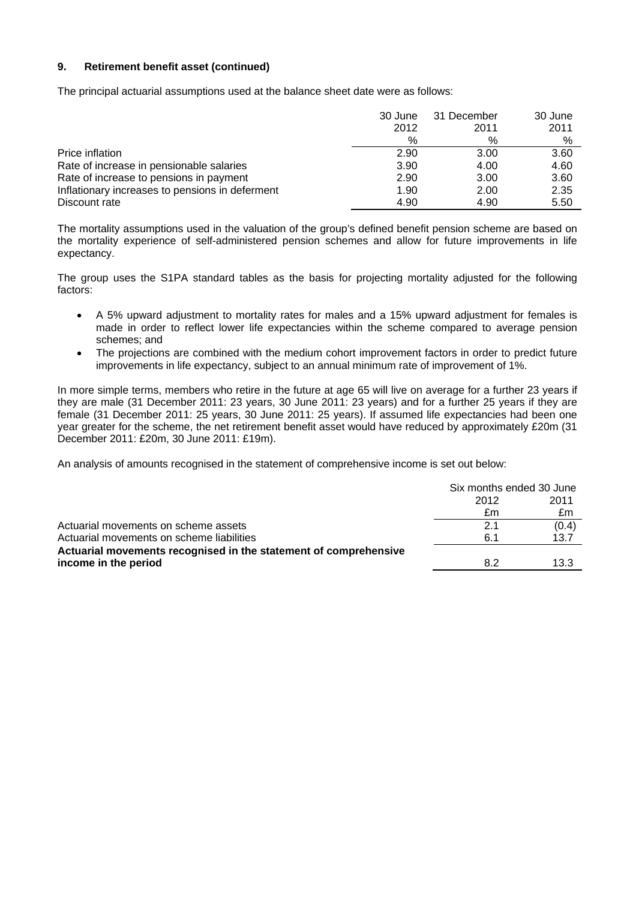## **9. Retirement benefit asset (continued)**

The principal actuarial assumptions used at the balance sheet date were as follows:

|                                                 | 30 June | 31 December | 30 June |
|-------------------------------------------------|---------|-------------|---------|
|                                                 | 2012    | 2011        | 2011    |
|                                                 | %       | %           | %       |
| Price inflation                                 | 2.90    | 3.00        | 3.60    |
| Rate of increase in pensionable salaries        | 3.90    | 4.00        | 4.60    |
| Rate of increase to pensions in payment         | 2.90    | 3.00        | 3.60    |
| Inflationary increases to pensions in deferment | 1.90    | 2.00        | 2.35    |
| Discount rate                                   | 4.90    | 4.90        | 5.50    |

The mortality assumptions used in the valuation of the group's defined benefit pension scheme are based on the mortality experience of self-administered pension schemes and allow for future improvements in life expectancy.

The group uses the S1PA standard tables as the basis for projecting mortality adjusted for the following factors:

- A 5% upward adjustment to mortality rates for males and a 15% upward adjustment for females is made in order to reflect lower life expectancies within the scheme compared to average pension schemes; and
- The projections are combined with the medium cohort improvement factors in order to predict future improvements in life expectancy, subject to an annual minimum rate of improvement of 1%.

In more simple terms, members who retire in the future at age 65 will live on average for a further 23 years if they are male (31 December 2011: 23 years, 30 June 2011: 23 years) and for a further 25 years if they are female (31 December 2011: 25 years, 30 June 2011: 25 years). If assumed life expectancies had been one year greater for the scheme, the net retirement benefit asset would have reduced by approximately £20m (31 December 2011: £20m, 30 June 2011: £19m).

An analysis of amounts recognised in the statement of comprehensive income is set out below:

|                                                                  | Six months ended 30 June |       |
|------------------------------------------------------------------|--------------------------|-------|
|                                                                  | 2012                     | 2011  |
|                                                                  | £m                       | £m    |
| Actuarial movements on scheme assets                             | 2.1                      | (0.4) |
| Actuarial movements on scheme liabilities                        | 6.1                      | 13.7  |
| Actuarial movements recognised in the statement of comprehensive |                          |       |
| income in the period                                             | 8.2                      | 13.3  |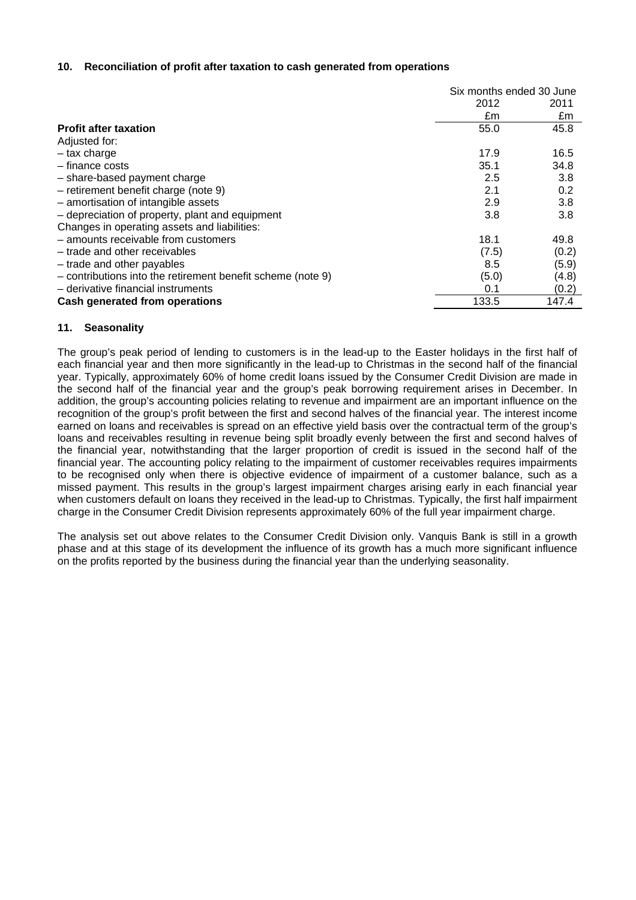## **10. Reconciliation of profit after taxation to cash generated from operations**

|                                                             | Six months ended 30 June |       |
|-------------------------------------------------------------|--------------------------|-------|
|                                                             | 2012                     | 2011  |
|                                                             | £m                       | £m    |
| <b>Profit after taxation</b>                                | 55.0                     | 45.8  |
| Adjusted for:                                               |                          |       |
| $-$ tax charge                                              | 17.9                     | 16.5  |
| $-$ finance costs                                           | 35.1                     | 34.8  |
| - share-based payment charge                                | 2.5                      | 3.8   |
| $-$ retirement benefit charge (note 9)                      | 2.1                      | 0.2   |
| - amortisation of intangible assets                         | 2.9                      | 3.8   |
| - depreciation of property, plant and equipment             | 3.8                      | 3.8   |
| Changes in operating assets and liabilities:                |                          |       |
| - amounts receivable from customers                         | 18.1                     | 49.8  |
| - trade and other receivables                               | (7.5)                    | (0.2) |
| - trade and other payables                                  | 8.5                      | (5.9) |
| - contributions into the retirement benefit scheme (note 9) | (5.0)                    | (4.8) |
| - derivative financial instruments                          | 0.1                      | (0.2) |
| Cash generated from operations                              | 133.5                    | 147.4 |

## **11. Seasonality**

The group's peak period of lending to customers is in the lead-up to the Easter holidays in the first half of each financial year and then more significantly in the lead-up to Christmas in the second half of the financial year. Typically, approximately 60% of home credit loans issued by the Consumer Credit Division are made in the second half of the financial year and the group's peak borrowing requirement arises in December. In addition, the group's accounting policies relating to revenue and impairment are an important influence on the recognition of the group's profit between the first and second halves of the financial year. The interest income earned on loans and receivables is spread on an effective yield basis over the contractual term of the group's loans and receivables resulting in revenue being split broadly evenly between the first and second halves of the financial year, notwithstanding that the larger proportion of credit is issued in the second half of the financial year. The accounting policy relating to the impairment of customer receivables requires impairments to be recognised only when there is objective evidence of impairment of a customer balance, such as a missed payment. This results in the group's largest impairment charges arising early in each financial year when customers default on loans they received in the lead-up to Christmas. Typically, the first half impairment charge in the Consumer Credit Division represents approximately 60% of the full year impairment charge.

The analysis set out above relates to the Consumer Credit Division only. Vanquis Bank is still in a growth phase and at this stage of its development the influence of its growth has a much more significant influence on the profits reported by the business during the financial year than the underlying seasonality.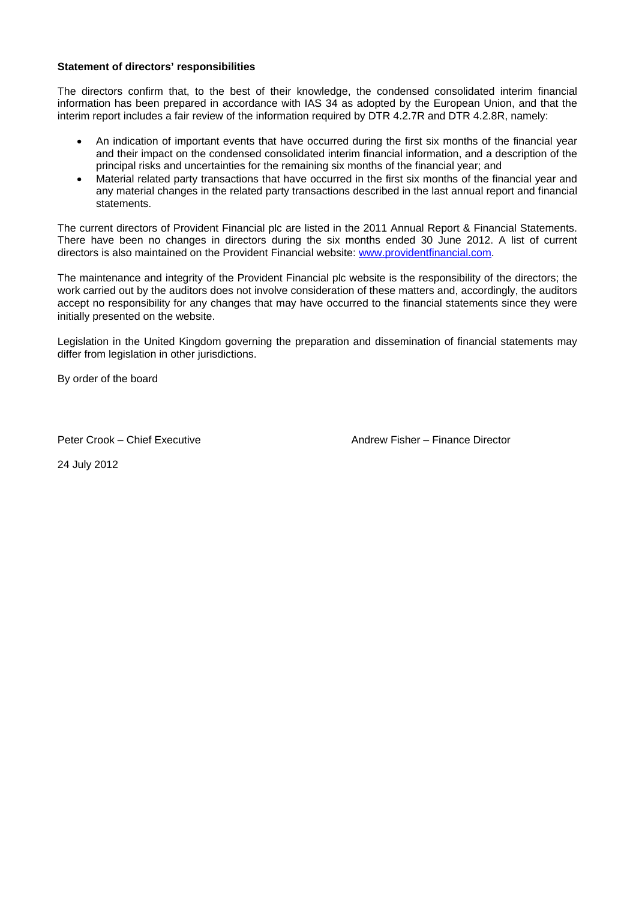## **Statement of directors' responsibilities**

The directors confirm that, to the best of their knowledge, the condensed consolidated interim financial information has been prepared in accordance with IAS 34 as adopted by the European Union, and that the interim report includes a fair review of the information required by DTR 4.2.7R and DTR 4.2.8R, namely:

- An indication of important events that have occurred during the first six months of the financial year and their impact on the condensed consolidated interim financial information, and a description of the principal risks and uncertainties for the remaining six months of the financial year; and
- Material related party transactions that have occurred in the first six months of the financial year and any material changes in the related party transactions described in the last annual report and financial statements.

The current directors of Provident Financial plc are listed in the 2011 Annual Report & Financial Statements. There have been no changes in directors during the six months ended 30 June 2012. A list of current directors is also maintained on the Provident Financial website: www.providentfinancial.com.

The maintenance and integrity of the Provident Financial plc website is the responsibility of the directors; the work carried out by the auditors does not involve consideration of these matters and, accordingly, the auditors accept no responsibility for any changes that may have occurred to the financial statements since they were initially presented on the website.

Legislation in the United Kingdom governing the preparation and dissemination of financial statements may differ from legislation in other jurisdictions.

By order of the board

Peter Crook – Chief Executive Andrew Fisher – Finance Director

24 July 2012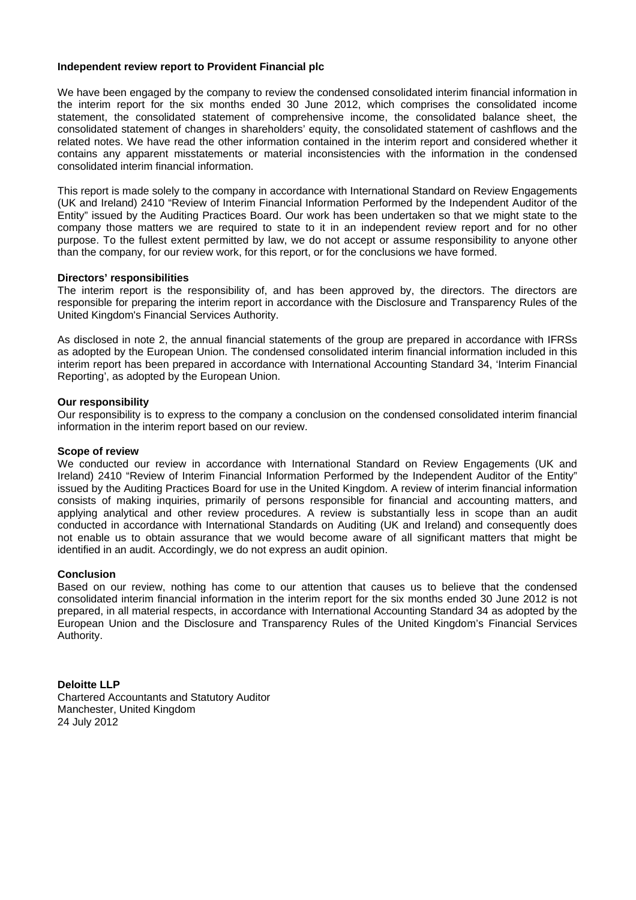#### **Independent review report to Provident Financial plc**

We have been engaged by the company to review the condensed consolidated interim financial information in the interim report for the six months ended 30 June 2012, which comprises the consolidated income statement, the consolidated statement of comprehensive income, the consolidated balance sheet, the consolidated statement of changes in shareholders' equity, the consolidated statement of cashflows and the related notes. We have read the other information contained in the interim report and considered whether it contains any apparent misstatements or material inconsistencies with the information in the condensed consolidated interim financial information.

This report is made solely to the company in accordance with International Standard on Review Engagements (UK and Ireland) 2410 "Review of Interim Financial Information Performed by the Independent Auditor of the Entity" issued by the Auditing Practices Board. Our work has been undertaken so that we might state to the company those matters we are required to state to it in an independent review report and for no other purpose. To the fullest extent permitted by law, we do not accept or assume responsibility to anyone other than the company, for our review work, for this report, or for the conclusions we have formed.

#### **Directors' responsibilities**

The interim report is the responsibility of, and has been approved by, the directors. The directors are responsible for preparing the interim report in accordance with the Disclosure and Transparency Rules of the United Kingdom's Financial Services Authority.

As disclosed in note 2, the annual financial statements of the group are prepared in accordance with IFRSs as adopted by the European Union. The condensed consolidated interim financial information included in this interim report has been prepared in accordance with International Accounting Standard 34, 'Interim Financial Reporting', as adopted by the European Union.

## **Our responsibility**

Our responsibility is to express to the company a conclusion on the condensed consolidated interim financial information in the interim report based on our review.

#### **Scope of review**

We conducted our review in accordance with International Standard on Review Engagements (UK and Ireland) 2410 "Review of Interim Financial Information Performed by the Independent Auditor of the Entity" issued by the Auditing Practices Board for use in the United Kingdom. A review of interim financial information consists of making inquiries, primarily of persons responsible for financial and accounting matters, and applying analytical and other review procedures. A review is substantially less in scope than an audit conducted in accordance with International Standards on Auditing (UK and Ireland) and consequently does not enable us to obtain assurance that we would become aware of all significant matters that might be identified in an audit. Accordingly, we do not express an audit opinion.

#### **Conclusion**

Based on our review, nothing has come to our attention that causes us to believe that the condensed consolidated interim financial information in the interim report for the six months ended 30 June 2012 is not prepared, in all material respects, in accordance with International Accounting Standard 34 as adopted by the European Union and the Disclosure and Transparency Rules of the United Kingdom's Financial Services Authority.

**Deloitte LLP**  Chartered Accountants and Statutory Auditor Manchester, United Kingdom 24 July 2012